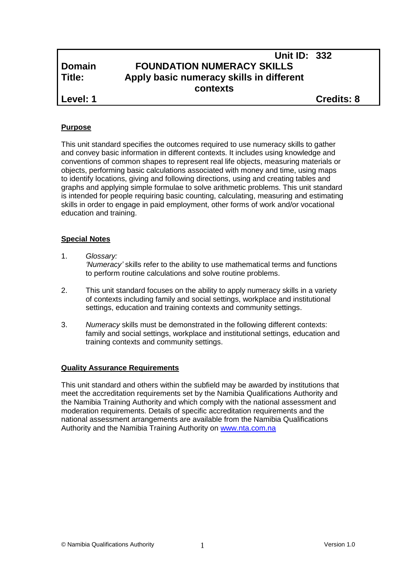## **Unit ID: 332 Domain FOUNDATION NUMERACY SKILLS Title: Apply basic numeracy skills in different contexts Level: 1 Credits: 8**

#### **Purpose**

This unit standard specifies the outcomes required to use numeracy skills to gather and convey basic information in different contexts. It includes using knowledge and conventions of common shapes to represent real life objects, measuring materials or objects, performing basic calculations associated with money and time, using maps to identify locations, giving and following directions, using and creating tables and graphs and applying simple formulae to solve arithmetic problems. This unit standard is intended for people requiring basic counting, calculating, measuring and estimating skills in order to engage in paid employment, other forms of work and/or vocational education and training.

#### **Special Notes**

- 1. *Glossary: 'Numeracy'* skills refer to the ability to use mathematical terms and functions to perform routine calculations and solve routine problems.
- 2. This unit standard focuses on the ability to apply numeracy skills in a variety of contexts including family and social settings, workplace and institutional settings, education and training contexts and community settings.
- 3. *Numeracy* skills must be demonstrated in the following different contexts: family and social settings, workplace and institutional settings, education and training contexts and community settings.

## **Quality Assurance Requirements**

This unit standard and others within the subfield may be awarded by institutions that meet the accreditation requirements set by the Namibia Qualifications Authority and the Namibia Training Authority and which comply with the national assessment and moderation requirements. Details of specific accreditation requirements and the national assessment arrangements are available from the Namibia Qualifications Authority and the Namibia Training Authority on [www.nta.com.na](http://www.nta.com.na/)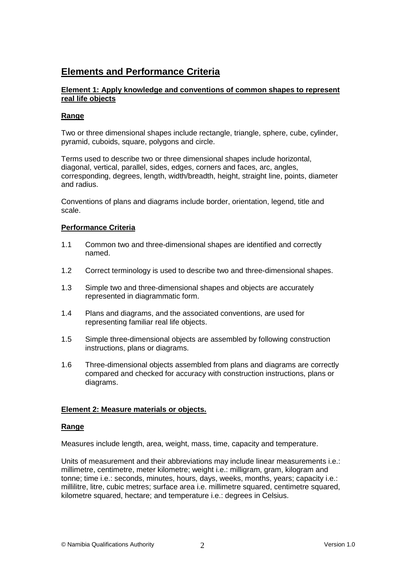## **Elements and Performance Criteria**

## **Element 1: Apply knowledge and conventions of common shapes to represent real life objects**

## **Range**

Two or three dimensional shapes include rectangle, triangle, sphere, cube, cylinder, pyramid, cuboids, square, polygons and circle.

Terms used to describe two or three dimensional shapes include horizontal, diagonal, vertical, parallel, sides, edges, corners and faces, arc, angles, corresponding, degrees, length, width/breadth, height, straight line, points, diameter and radius.

Conventions of plans and diagrams include border, orientation, legend, title and scale.

#### **Performance Criteria**

- 1.1 Common two and three-dimensional shapes are identified and correctly named.
- 1.2 Correct terminology is used to describe two and three-dimensional shapes.
- 1.3 Simple two and three-dimensional shapes and objects are accurately represented in diagrammatic form.
- 1.4 Plans and diagrams, and the associated conventions, are used for representing familiar real life objects.
- 1.5 Simple three-dimensional objects are assembled by following construction instructions, plans or diagrams.
- 1.6 Three-dimensional objects assembled from plans and diagrams are correctly compared and checked for accuracy with construction instructions, plans or diagrams.

## **Element 2: Measure materials or objects.**

#### **Range**

Measures include length, area, weight, mass, time, capacity and temperature.

Units of measurement and their abbreviations may include linear measurements i.e.: millimetre, centimetre, meter kilometre; weight i.e.: milligram, gram, kilogram and tonne; time i.e.: seconds, minutes, hours, days, weeks, months, years; capacity i.e.: millilitre, litre, cubic metres; surface area i.e. millimetre squared, centimetre squared, kilometre squared, hectare; and temperature i.e.: degrees in Celsius.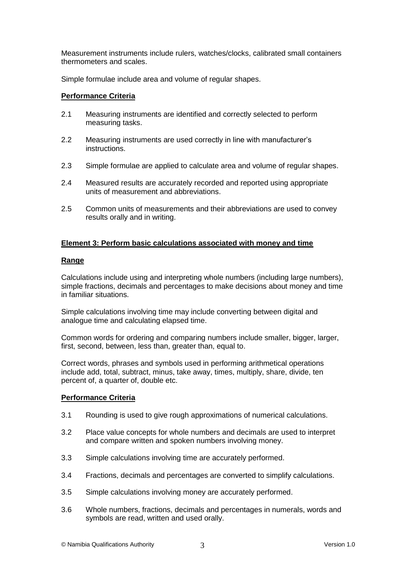Measurement instruments include rulers, watches/clocks, calibrated small containers thermometers and scales.

Simple formulae include area and volume of regular shapes.

#### **Performance Criteria**

- 2.1 Measuring instruments are identified and correctly selected to perform measuring tasks.
- 2.2 Measuring instruments are used correctly in line with manufacturer's instructions.
- 2.3 Simple formulae are applied to calculate area and volume of regular shapes.
- 2.4 Measured results are accurately recorded and reported using appropriate units of measurement and abbreviations.
- 2.5 Common units of measurements and their abbreviations are used to convey results orally and in writing.

## **Element 3: Perform basic calculations associated with money and time**

#### **Range**

Calculations include using and interpreting whole numbers (including large numbers), simple fractions, decimals and percentages to make decisions about money and time in familiar situations.

Simple calculations involving time may include converting between digital and analogue time and calculating elapsed time.

Common words for ordering and comparing numbers include smaller, bigger, larger, first, second, between, less than, greater than, equal to.

Correct words, phrases and symbols used in performing arithmetical operations include add, total, subtract, minus, take away, times, multiply, share, divide, ten percent of, a quarter of, double etc.

#### **Performance Criteria**

- 3.1 Rounding is used to give rough approximations of numerical calculations.
- 3.2 Place value concepts for whole numbers and decimals are used to interpret and compare written and spoken numbers involving money.
- 3.3 Simple calculations involving time are accurately performed.
- 3.4 Fractions, decimals and percentages are converted to simplify calculations.
- 3.5 Simple calculations involving money are accurately performed.
- 3.6 Whole numbers, fractions, decimals and percentages in numerals, words and symbols are read, written and used orally.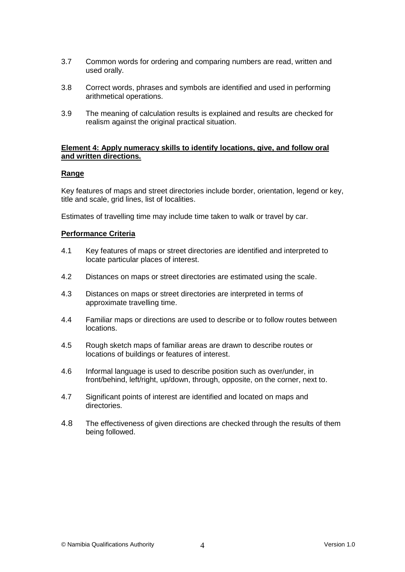- 3.7 Common words for ordering and comparing numbers are read, written and used orally.
- 3.8 Correct words, phrases and symbols are identified and used in performing arithmetical operations.
- 3.9 The meaning of calculation results is explained and results are checked for realism against the original practical situation.

#### **Element 4: Apply numeracy skills to identify locations, give, and follow oral and written directions.**

#### **Range**

Key features of maps and street directories include border, orientation, legend or key, title and scale, grid lines, list of localities.

Estimates of travelling time may include time taken to walk or travel by car.

## **Performance Criteria**

- 4.1 Key features of maps or street directories are identified and interpreted to locate particular places of interest.
- 4.2 Distances on maps or street directories are estimated using the scale.
- 4.3 Distances on maps or street directories are interpreted in terms of approximate travelling time.
- 4.4 Familiar maps or directions are used to describe or to follow routes between locations.
- 4.5 Rough sketch maps of familiar areas are drawn to describe routes or locations of buildings or features of interest.
- 4.6 Informal language is used to describe position such as over/under, in front/behind, left/right, up/down, through, opposite, on the corner, next to.
- 4.7 Significant points of interest are identified and located on maps and directories.
- 4.8 The effectiveness of given directions are checked through the results of them being followed.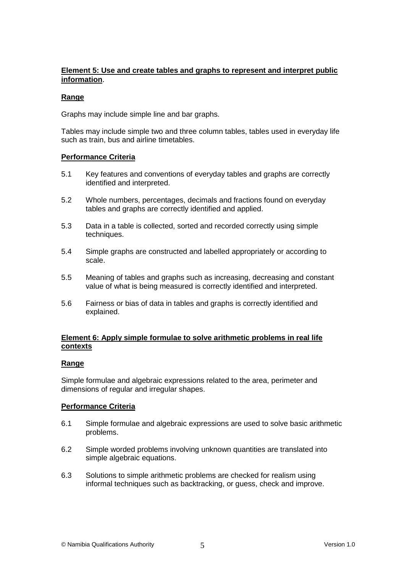## **Element 5: Use and create tables and graphs to represent and interpret public information**.

## **Range**

Graphs may include simple line and bar graphs.

Tables may include simple two and three column tables, tables used in everyday life such as train, bus and airline timetables.

## **Performance Criteria**

- 5.1 Key features and conventions of everyday tables and graphs are correctly identified and interpreted.
- 5.2 Whole numbers, percentages, decimals and fractions found on everyday tables and graphs are correctly identified and applied.
- 5.3 Data in a table is collected, sorted and recorded correctly using simple techniques.
- 5.4 Simple graphs are constructed and labelled appropriately or according to scale.
- 5.5 Meaning of tables and graphs such as increasing, decreasing and constant value of what is being measured is correctly identified and interpreted.
- 5.6 Fairness or bias of data in tables and graphs is correctly identified and explained.

## **Element 6: Apply simple formulae to solve arithmetic problems in real life contexts**

## **Range**

Simple formulae and algebraic expressions related to the area, perimeter and dimensions of regular and irregular shapes.

## **Performance Criteria**

- 6.1 Simple formulae and algebraic expressions are used to solve basic arithmetic problems.
- 6.2 Simple worded problems involving unknown quantities are translated into simple algebraic equations.
- 6.3 Solutions to simple arithmetic problems are checked for realism using informal techniques such as backtracking, or guess, check and improve.